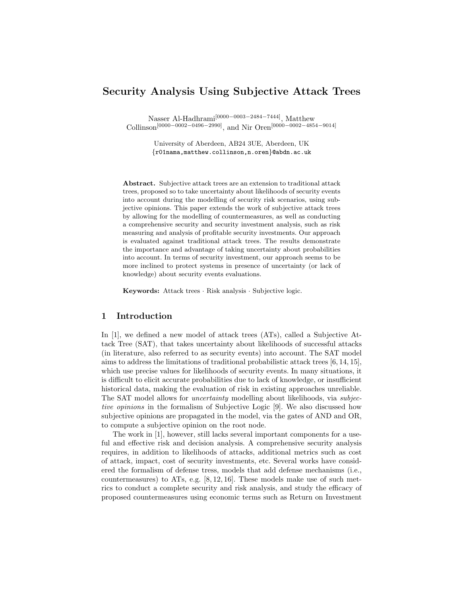# Security Analysis Using Subjective Attack Trees

Nasser Al-Hadhrami[0000−0003−2484−7444], Matthew Collinson<sup>[0000–0002–0496–2990]</sup>, and Nir Oren<sup>[0000–0002–4854–9014]</sup>

> University of Aberdeen, AB24 3UE, Aberdeen, UK {r01nama,matthew.collinson,n.oren}@abdn.ac.uk

Abstract. Subjective attack trees are an extension to traditional attack trees, proposed so to take uncertainty about likelihoods of security events into account during the modelling of security risk scenarios, using subjective opinions. This paper extends the work of subjective attack trees by allowing for the modelling of countermeasures, as well as conducting a comprehensive security and security investment analysis, such as risk measuring and analysis of profitable security investments. Our approach is evaluated against traditional attack trees. The results demonstrate the importance and advantage of taking uncertainty about probabilities into account. In terms of security investment, our approach seems to be more inclined to protect systems in presence of uncertainty (or lack of knowledge) about security events evaluations.

Keywords: Attack trees · Risk analysis · Subjective logic.

## 1 Introduction

In [1], we defined a new model of attack trees (ATs), called a Subjective Attack Tree (SAT), that takes uncertainty about likelihoods of successful attacks (in literature, also referred to as security events) into account. The SAT model aims to address the limitations of traditional probabilistic attack trees [6, 14, 15], which use precise values for likelihoods of security events. In many situations, it is difficult to elicit accurate probabilities due to lack of knowledge, or insufficient historical data, making the evaluation of risk in existing approaches unreliable. The SAT model allows for uncertainty modelling about likelihoods, via subjective opinions in the formalism of Subjective Logic [9]. We also discussed how subjective opinions are propagated in the model, via the gates of AND and OR, to compute a subjective opinion on the root node.

The work in [1], however, still lacks several important components for a useful and effective risk and decision analysis. A comprehensive security analysis requires, in addition to likelihoods of attacks, additional metrics such as cost of attack, impact, cost of security investments, etc. Several works have considered the formalism of defense tress, models that add defense mechanisms (i.e., countermeasures) to ATs, e.g.  $[8, 12, 16]$ . These models make use of such metrics to conduct a complete security and risk analysis, and study the efficacy of proposed countermeasures using economic terms such as Return on Investment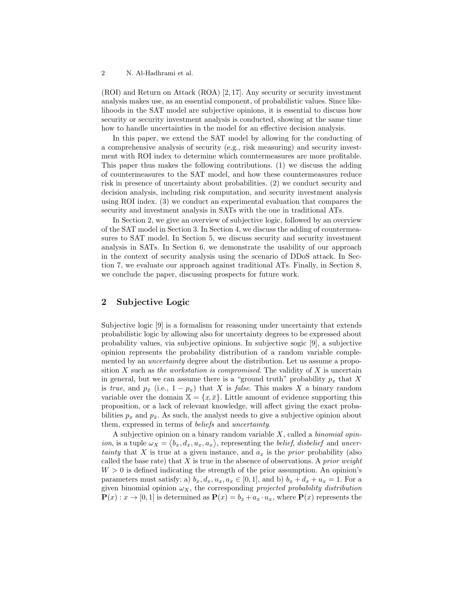(ROI) and Return on Attack (ROA) [2, 17]. Any security or security investment analysis makes use, as an essential component, of probabilistic values. Since likelihoods in the SAT model are subjective opinions, it is essential to discuss how security or security investment analysis is conducted, showing at the same time how to handle uncertainties in the model for an effective decision analysis.

In this paper, we extend the SAT model by allowing for the conducting of a comprehensive analysis of security (e.g., risk measuring) and security investment with ROI index to determine which countermeasures are more profitable. This paper thus makes the following contributions. (1) we discuss the adding of countermeasures to the SAT model, and how these countermeasures reduce risk in presence of uncertainty about probabilities. (2) we conduct security and decision analysis, including risk computation, and security investment analysis using ROI index. (3) we conduct an experimental evaluation that compares the security and investment analysis in SATs with the one in traditional ATs.

In Section 2, we give an overview of subjective logic, followed by an overview of the SAT model in Section 3. In Section 4, we discuss the adding of countermeasures to SAT model. In Section 5, we discuss security and security investment analysis in SATs. In Section 6, we demonstrate the usability of our approach in the context of security analysis using the scenario of DDoS attack. In Section 7, we evaluate our approach against traditional ATs. Finally, in Section 8, we conclude the paper, discussing prospects for future work.

# 2 Subjective Logic

Subjective logic [9] is a formalism for reasoning under uncertainty that extends probabilistic logic by allowing also for uncertainty degrees to be expressed about probability values, via subjective opinions. In subjective sogic [9], a subjective opinion represents the probability distribution of a random variable complemented by an *uncertainty* degree about the distribution. Let us assume a proposition X such as the workstation is compromised. The validity of X is uncertain in general, but we can assume there is a "ground truth" probability  $p_x$  that X is true, and  $p_{\bar{x}}$  (i.e.,  $1 - p_x$ ) that X is false. This makes X a binary random variable over the domain  $\mathbb{X} = \{x, \bar{x}\}\.$  Little amount of evidence supporting this proposition, or a lack of relevant knowledge, will affect giving the exact probabilities  $p_x$  and  $p_{\bar{x}}$ . As such, the analyst needs to give a subjective opinion about them, expressed in terms of beliefs and uncertainty.

A subjective opinion on a binary random variable  $X$ , called a *binomial opinion*, is a tuple  $\omega_X = \langle b_x, d_x, u_x, a_x \rangle$ , representing the *belief*, *disbelief* and *uncer*tainty that X is true at a given instance, and  $a_x$  is the prior probability (also called the base rate) that X is true in the absence of observations. A prior weight  $W > 0$  is defined indicating the strength of the prior assumption. An opinion's parameters must satisfy: a)  $b_x, d_x, u_x, a_x \in [0, 1]$ , and b)  $b_x + d_x + u_x = 1$ . For a given binomial opinion  $\omega_X$ , the corresponding projected probability distribution  $\mathbf{P}(x): x \to [0,1]$  is determined as  $\mathbf{P}(x) = b_x + a_x \cdot u_x$ , where  $\mathbf{P}(x)$  represents the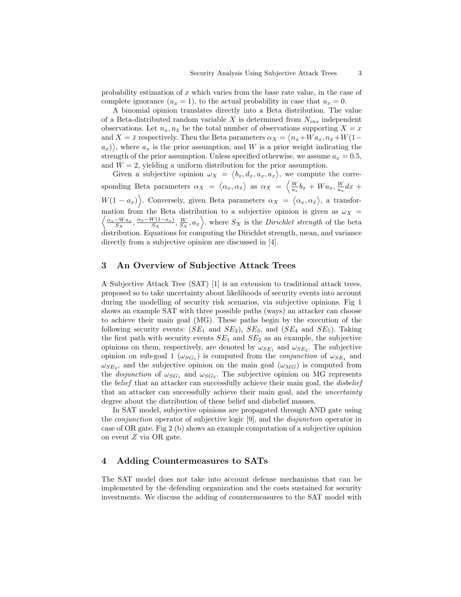probability estimation of x which varies from the base rate value, in the case of complete ignorance  $(u_x = 1)$ , to the actual probability in case that  $u_x = 0$ .

A binomial opinion translates directly into a Beta distribution. The value of a Beta-distributed random variable X is determined from  $N_{ins}$  independent observations. Let  $n_x, n_{\bar{x}}$  be the total number of observations supporting  $X = x$ and  $X = \bar{x}$  respectively. Then the Beta parameters  $\alpha_X = \langle n_x + W a_x, n_{\bar{x}} + W (1 (a_x)$ , where  $a_x$  is the prior assumption, and W is a prior weight indicating the strength of the prior assumption. Unless specified otherwise, we assume  $a_x = 0.5$ , and  $W = 2$ , yielding a uniform distribution for the prior assumption.

Given a subjective opinion  $\omega_X = \langle b_x, d_x, u_x, a_x \rangle$ , we compute the corresponding Beta parameters  $\alpha_X = \langle \alpha_x, \alpha_{\bar{x}} \rangle$  as  $\alpha_X = \langle \frac{W}{u_x} b_x + W a_x, \frac{W}{u_x} dx +$  $W(1-a_x)$ . Conversely, given Beta parameters  $\alpha_X = \langle \alpha_x, \alpha_{\bar{x}} \rangle$ , a transfor- $\left\langle \frac{\alpha_x-Wa_x}{S_X}, \frac{\alpha_{\bar{x}}-W(1-a_x)}{S_X} \right\rangle$ mation from the Beta distribution to a subjective opinion is given as  $\omega_X$  =  $\frac{W(1-a_x)}{S_X}, \frac{W}{S_X}, a_x$ , where  $S_X$  is the *Dirichlet strength* of the beta distribution. Equations for computing the Dirichlet strength, mean, and variance directly from a subjective opinion are discussed in [4].

## 3 An Overview of Subjective Attack Trees

A Subjective Attack Tree (SAT) [1] is an extension to traditional attack trees, proposed so to take uncertainty about likelihoods of security events into account during the modelling of security risk scenarios, via subjective opinions. Fig 1 shows an example SAT with three possible paths (ways) an attacker can choose to achieve their main goal (MG). These paths begin by the execution of the following security events:  $(SE_1$  and  $SE_2$ ),  $SE_3$ , and  $(SE_4$  and  $SE_5)$ . Taking the first path with security events  $SE_1$  and  $SE_2$  as an example, the subjective opinions on them, respectively, are denoted by  $\omega_{SE_1}$  and  $\omega_{SE_2}$ . The subjective opinion on sub-goal 1  $(\omega_{SG_1})$  is computed from the *conjunction* of  $\omega_{SE_1}$  and  $\omega_{SE_2}$ , and the subjective opinion on the main goal  $(\omega_{MG})$  is computed from the *disjunction* of  $\omega_{SG_1}$  and  $\omega_{SG_2}$ . The subjective opinion on MG represents the *belief* that an attacker can successfully achieve their main goal, the *disbelief* that an attacker can successfully achieve their main goal, and the *uncertainty* degree about the distribution of these belief and disbelief masses.

In SAT model, subjective opinions are propagated through AND gate using the conjunction operator of subjective logic [9], and the disjunction operator in case of OR gate. Fig 2 (b) shows an example computation of a subjective opinion on event Z via OR gate.

## 4 Adding Countermeasures to SATs

The SAT model does not take into account defense mechanisms that can be implemented by the defending organization and the costs sustained for security investments. We discuss the adding of countermeasures to the SAT model with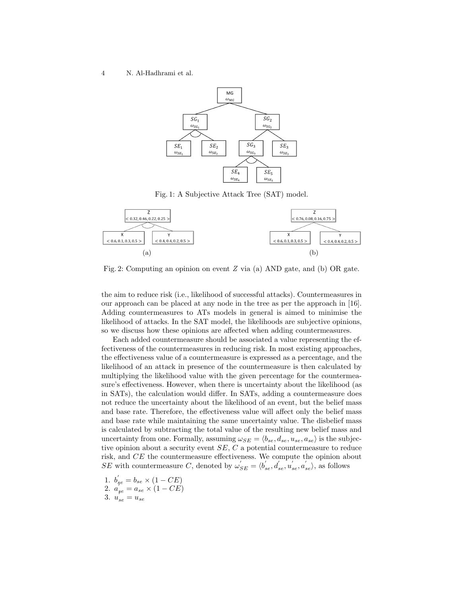

Fig. 1: A Subjective Attack Tree (SAT) model.



Fig. 2: Computing an opinion on event Z via (a) AND gate, and (b) OR gate.

the aim to reduce risk (i.e., likelihood of successful attacks). Countermeasures in our approach can be placed at any node in the tree as per the approach in [16]. Adding countermeasures to ATs models in general is aimed to minimise the likelihood of attacks. In the SAT model, the likelihoods are subjective opinions, so we discuss how these opinions are affected when adding countermeasures.

Each added countermeasure should be associated a value representing the effectiveness of the countermeasures in reducing risk. In most existing approaches, the effectiveness value of a countermeasure is expressed as a percentage, and the likelihood of an attack in presence of the countermeasure is then calculated by multiplying the likelihood value with the given percentage for the countermeasure's effectiveness. However, when there is uncertainty about the likelihood (as in SATs), the calculation would differ. In SATs, adding a countermeasure does not reduce the uncertainty about the likelihood of an event, but the belief mass and base rate. Therefore, the effectiveness value will affect only the belief mass and base rate while maintaining the same uncertainty value. The disbelief mass is calculated by subtracting the total value of the resulting new belief mass and uncertainty from one. Formally, assuming  $\omega_{SE} = \langle b_{se}, d_{se}, u_{se}, a_{se} \rangle$  is the subjective opinion about a security event SE, C a potential countermeasure to reduce risk, and CE the countermeasure effectiveness. We compute the opinion about SE with countermeasure C, denoted by  $\omega'_{SE} = \langle b'_{se}, d'_{se}, u'_{se}, a'_{se} \rangle$ , as follows

- 1.  $b'_{se} = b_{se} \times (1 CE)$ 2.  $a_{se}^{\prime^c} = a_{se} \times (1 - CE)$
- 3.  $u_{se} = u_{se}$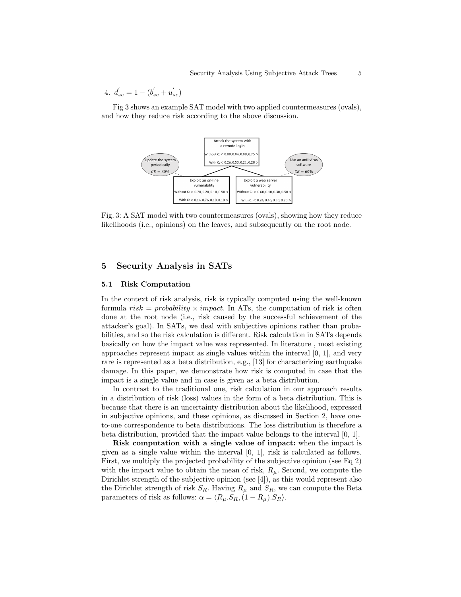4. 
$$
d'_{se} = 1 - (b'_{se} + u'_{se})
$$

Fig 3 shows an example SAT model with two applied countermeasures (ovals), and how they reduce risk according to the above discussion.



Fig. 3: A SAT model with two countermeasures (ovals), showing how they reduce likelihoods (i.e., opinions) on the leaves, and subsequently on the root node.

## 5 Security Analysis in SATs

### 5.1 Risk Computation

In the context of risk analysis, risk is typically computed using the well-known formula risk = probability  $\times$  impact. In ATs, the computation of risk is often done at the root node (i.e., risk caused by the successful achievement of the attacker's goal). In SATs, we deal with subjective opinions rather than probabilities, and so the risk calculation is different. Risk calculation in SATs depends basically on how the impact value was represented. In literature , most existing approaches represent impact as single values within the interval [0, 1], and very rare is represented as a beta distribution, e.g., [13] for characterizing earthquake damage. In this paper, we demonstrate how risk is computed in case that the impact is a single value and in case is given as a beta distribution.

In contrast to the traditional one, risk calculation in our approach results in a distribution of risk (loss) values in the form of a beta distribution. This is because that there is an uncertainty distribution about the likelihood, expressed in subjective opinions, and these opinions, as discussed in Section 2, have oneto-one correspondence to beta distributions. The loss distribution is therefore a beta distribution, provided that the impact value belongs to the interval [0, 1].

Risk computation with a single value of impact: when the impact is given as a single value within the interval [0, 1], risk is calculated as follows. First, we multiply the projected probability of the subjective opinion (see Eq 2) with the impact value to obtain the mean of risk,  $R_u$ . Second, we compute the Dirichlet strength of the subjective opinion (see [4]), as this would represent also the Dirichlet strength of risk  $S_R$ . Having  $R_\mu$  and  $S_R$ , we can compute the Beta parameters of risk as follows:  $\alpha = \langle R_{\mu}.S_R,(1 - R_{\mu}).S_R \rangle$ .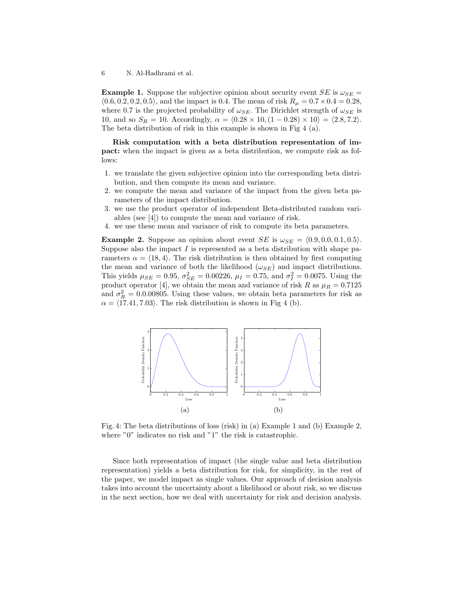**Example 1.** Suppose the subjective opinion about security event  $SE$  is  $\omega_{SE}$  $(0.6, 0.2, 0.2, 0.5)$ , and the impact is 0.4. The mean of risk  $R_{\mu} = 0.7 \times 0.4 = 0.28$ , where 0.7 is the projected probability of  $\omega_{SE}$ . The Dirichlet strength of  $\omega_{SE}$  is 10, and so  $S_R = 10$ . Accordingly,  $\alpha = (0.28 \times 10, (1 - 0.28) \times 10) = (2.8, 7.2)$ . The beta distribution of risk in this example is shown in Fig 4 (a).

Risk computation with a beta distribution representation of impact: when the impact is given as a beta distribution, we compute risk as follows:

- 1. we translate the given subjective opinion into the corresponding beta distribution, and then compute its mean and variance.
- 2. we compute the mean and variance of the impact from the given beta parameters of the impact distribution.
- 3. we use the product operator of independent Beta-distributed random variables (see [4]) to compute the mean and variance of risk.
- 4. we use these mean and variance of risk to compute its beta parameters.

**Example 2.** Suppose an opinion about event SE is  $\omega_{SE} = \langle 0.9, 0.0, 0.1, 0.5 \rangle$ . Suppose also the impact  $I$  is represented as a beta distribution with shape parameters  $\alpha = \langle 18, 4 \rangle$ . The risk distribution is then obtained by first computing the mean and variance of both the likelihood  $(\omega_{SE})$  and impact distributions. This yields  $\mu_{SE} = 0.95, \sigma_{SE}^2 = 0.00226, \mu_I = 0.75, \text{ and } \sigma_I^2 = 0.0075.$  Using the product operator [4], we obtain the mean and variance of risk R as  $\mu_R = 0.7125$ and  $\sigma_R^2 = 0.0.00805$ . Using these values, we obtain beta parameters for risk as  $\alpha = \langle 17.41, 7.03 \rangle$ . The risk distribution is shown in Fig 4 (b).



Fig. 4: The beta distributions of loss (risk) in (a) Example 1 and (b) Example 2, where "0" indicates no risk and "1" the risk is catastrophic.

Since both representation of impact (the single value and beta distribution representation) yields a beta distribution for risk, for simplicity, in the rest of the paper, we model impact as single values. Our approach of decision analysis takes into account the uncertainty about a likelihood or about risk, so we discuss in the next section, how we deal with uncertainty for risk and decision analysis.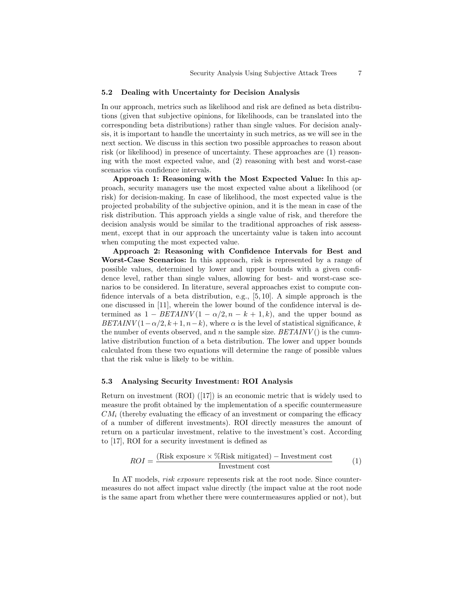## 5.2 Dealing with Uncertainty for Decision Analysis

In our approach, metrics such as likelihood and risk are defined as beta distributions (given that subjective opinions, for likelihoods, can be translated into the corresponding beta distributions) rather than single values. For decision analysis, it is important to handle the uncertainty in such metrics, as we will see in the next section. We discuss in this section two possible approaches to reason about risk (or likelihood) in presence of uncertainty. These approaches are (1) reasoning with the most expected value, and (2) reasoning with best and worst-case scenarios via confidence intervals.

Approach 1: Reasoning with the Most Expected Value: In this approach, security managers use the most expected value about a likelihood (or risk) for decision-making. In case of likelihood, the most expected value is the projected probability of the subjective opinion, and it is the mean in case of the risk distribution. This approach yields a single value of risk, and therefore the decision analysis would be similar to the traditional approaches of risk assessment, except that in our approach the uncertainty value is taken into account when computing the most expected value.

Approach 2: Reasoning with Confidence Intervals for Best and Worst-Case Scenarios: In this approach, risk is represented by a range of possible values, determined by lower and upper bounds with a given confidence level, rather than single values, allowing for best- and worst-case scenarios to be considered. In literature, several approaches exist to compute confidence intervals of a beta distribution, e.g., [5, 10]. A simple approach is the one discussed in [11], wherein the lower bound of the confidence interval is determined as  $1 - BETAINV(1 - \alpha/2, n - k + 1, k)$ , and the upper bound as  $BETAINV(1-\alpha/2, k+1, n-k)$ , where  $\alpha$  is the level of statistical significance, k the number of events observed, and n the sample size.  $BETAINV()$  is the cumulative distribution function of a beta distribution. The lower and upper bounds calculated from these two equations will determine the range of possible values that the risk value is likely to be within.

### 5.3 Analysing Security Investment: ROI Analysis

Return on investment (ROI) ([17]) is an economic metric that is widely used to measure the profit obtained by the implementation of a specific countermeasure  $CM_i$  (thereby evaluating the efficacy of an investment or comparing the efficacy of a number of different investments). ROI directly measures the amount of return on a particular investment, relative to the investment's cost. According to [17], ROI for a security investment is defined as

$$
ROI = \frac{(Risk exposure \times \%Risk mitigated) - Investment cost}{Investment cost}
$$
 (1)

In AT models, *risk exposure* represents risk at the root node. Since countermeasures do not affect impact value directly (the impact value at the root node is the same apart from whether there were countermeasures applied or not), but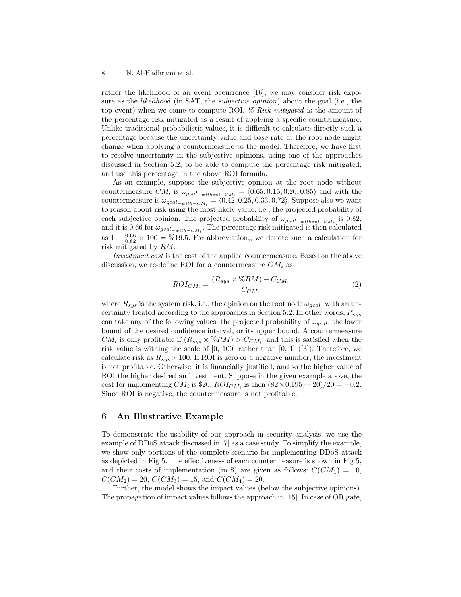rather the likelihood of an event occurrence [16], we may consider risk exposure as the *likelihood* (in SAT, the *subjective opinion*) about the goal (i.e., the top event) when we come to compute ROI.  $\%$  Risk mitigated is the amount of the percentage risk mitigated as a result of applying a specific countermeasure. Unlike traditional probabilistic values, it is difficult to calculate directly such a percentage because the uncertainty value and base rate at the root node might change when applying a countermeasure to the model. Therefore, we have first to resolve uncertainty in the subjective opinions, using one of the approaches discussed in Section 5.2, to be able to compute the percentage risk mitigated, and use this percentage in the above ROI formula.

As an example, suppose the subjective opinion at the root node without countermeasure  $CM_i$  is  $\omega_{goal\_without\_CM_i} = (0.65, 0.15, 0.20, 0.85)$  and with the countermeasure is  $\omega_{goal_{-with-CM_i}} = (0.42, 0.25, 0.33, 0.72)$ . Suppose also we want to reason about risk using the most likely value, i.e., the projected probability of each subjective opinion. The projected probability of  $\omega_{goal\_without-CM_i}$  is 0.82, and it is 0.66 for  $\omega_{goal-with-CM_i}$ . The percentage risk mitigated is then calculated as  $1 - \frac{0.66}{0.82} \times 100 = \%19.5$ . For abbreviation,, we denote such a calculation for risk mitigated by RM.

Investment cost is the cost of the applied countermeasure. Based on the above discussion, we re-define ROI for a countermeasure  $CM_i$  as

$$
ROI_{CM_i} = \frac{(R_{sys} \times \%RM) - C_{CM_i}}{C_{CM_i}} \tag{2}
$$

where  $R_{sus}$  is the system risk, i.e., the opinion on the root node  $\omega_{goal}$ , with an uncertainty treated according to the approaches in Section 5.2. In other words,  $R_{sus}$ can take any of the following values: the projected probability of  $\omega_{goal}$ , the lower bound of the desired confidence interval, or its upper bound. A countermeasure  $CM_i$  is only profitable if  $(R_{sys} \times \%RM) > C_{CM_i}$ , and this is satisfied when the risk value is withing the scale of  $[0, 100]$  rather than  $[0, 1]$   $([3])$ . Therefore, we calculate risk as  $R_{sys} \times 100$ . If ROI is zero or a negative number, the investment is not profitable. Otherwise, it is financially justified, and so the higher value of ROI the higher desired an investment. Suppose in the given example above, the cost for implementing  $CM_i$  is \$20.  $ROI_{CM_i}$  is then  $(82 \times 0.195) - 20)/20 = -0.2$ . Since ROI is negative, the countermeasure is not profitable.

# 6 An Illustrative Example

To demonstrate the usability of our approach in security analysis, we use the example of DDoS attack discussed in [7] as a case study. To simplify the example, we show only portions of the complete scenario for implementing DDoS attack as depicted in Fig 5. The effectiveness of each countermeasure is shown in Fig 5, and their costs of implementation (in \$) are given as follows:  $C(CM_1) = 10$ ,  $C(CM_2) = 20, C(CM_3) = 15,$  and  $C(CM_4) = 20.$ 

Further, the model shows the impact values (below the subjective opinions). The propagation of impact values follows the approach in [15]. In case of OR gate,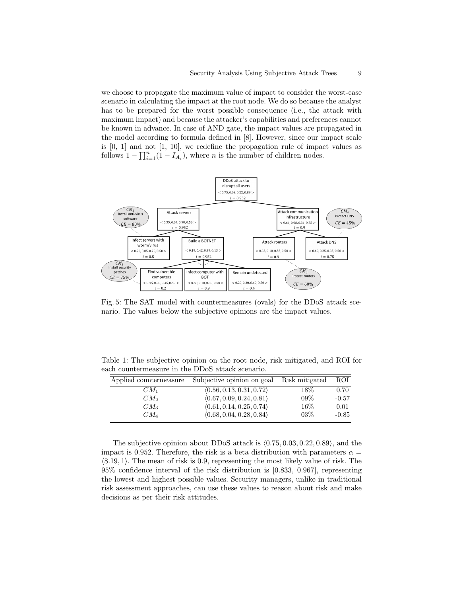we choose to propagate the maximum value of impact to consider the worst-case scenario in calculating the impact at the root node. We do so because the analyst has to be prepared for the worst possible consequence (i.e., the attack with maximum impact) and because the attacker's capabilities and preferences cannot be known in advance. In case of AND gate, the impact values are propagated in the model according to formula defined in [8]. However, since our impact scale is [0, 1] and not [1, 10], we redefine the propagation rule of impact values as follows  $1 - \prod_{i=1}^{n} (1 - I_{A_i})$ , where *n* is the number of children nodes.



Fig. 5: The SAT model with countermeasures (ovals) for the DDoS attack scenario. The values below the subjective opinions are the impact values.

| Table 1: The subjective opinion on the root node, risk mitigated, and ROI for |  |
|-------------------------------------------------------------------------------|--|
| each countermeasure in the DDoS attack scenario.                              |  |

| Applied countermeasure | Subjective opinion on goal | Risk mitigated | ROI     |
|------------------------|----------------------------|----------------|---------|
| $CM_1$                 | (0.56, 0.13, 0.31, 0.72)   | 18\%           | 0.70    |
| CM <sub>2</sub>        | (0.67, 0.09, 0.24, 0.81)   | 09%            | $-0.57$ |
| $CM_3$                 | (0.61, 0.14, 0.25, 0.74)   | 16%            | 0.01    |
| CM <sub>4</sub>        | (0.68, 0.04, 0.28, 0.84)   | 03%            | $-0.85$ |

The subjective opinion about DDoS attack is  $(0.75, 0.03, 0.22, 0.89)$ , and the impact is 0.952. Therefore, the risk is a beta distribution with parameters  $\alpha =$  $(8.19, 1)$ . The mean of risk is 0.9, representing the most likely value of risk. The 95% confidence interval of the risk distribution is [0.833, 0.967], representing the lowest and highest possible values. Security managers, unlike in traditional risk assessment approaches, can use these values to reason about risk and make decisions as per their risk attitudes.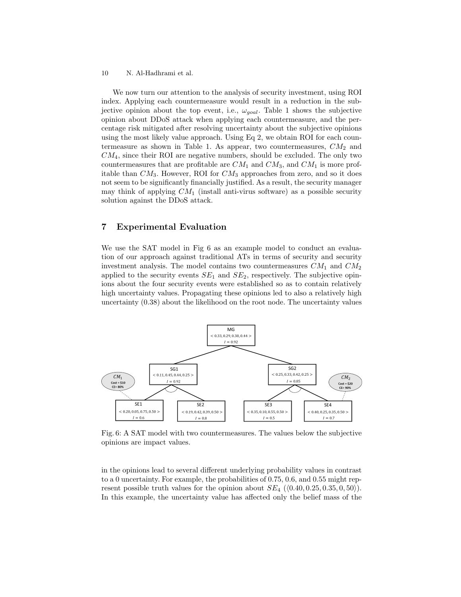We now turn our attention to the analysis of security investment, using ROI index. Applying each countermeasure would result in a reduction in the subjective opinion about the top event, i.e.,  $\omega_{goal}$ . Table 1 shows the subjective opinion about DDoS attack when applying each countermeasure, and the percentage risk mitigated after resolving uncertainty about the subjective opinions using the most likely value approach. Using Eq 2, we obtain ROI for each countermeasure as shown in Table 1. As appear, two countermeasures,  $CM<sub>2</sub>$  and  $CM<sub>4</sub>$ , since their ROI are negative numbers, should be excluded. The only two countermeasures that are profitable are  $CM_1$  and  $CM_3$ , and  $CM_1$  is more profitable than  $CM_3$ . However, ROI for  $CM_3$  approaches from zero, and so it does not seem to be significantly financially justified. As a result, the security manager may think of applying  $CM_1$  (install anti-virus software) as a possible security solution against the DDoS attack.

## 7 Experimental Evaluation

We use the SAT model in Fig 6 as an example model to conduct an evaluation of our approach against traditional ATs in terms of security and security investment analysis. The model contains two countermeasures  $CM_1$  and  $CM_2$ applied to the security events  $SE_1$  and  $SE_2$ , respectively. The subjective opinions about the four security events were established so as to contain relatively high uncertainty values. Propagating these opinions led to also a relatively high uncertainty (0.38) about the likelihood on the root node. The uncertainty values



Fig. 6: A SAT model with two countermeasures. The values below the subjective opinions are impact values.

in the opinions lead to several different underlying probability values in contrast to a 0 uncertainty. For example, the probabilities of 0.75, 0.6, and 0.55 might represent possible truth values for the opinion about  $SE_4$  ( $\langle 0.40, 0.25, 0.35, 0, 50 \rangle$ ). In this example, the uncertainty value has affected only the belief mass of the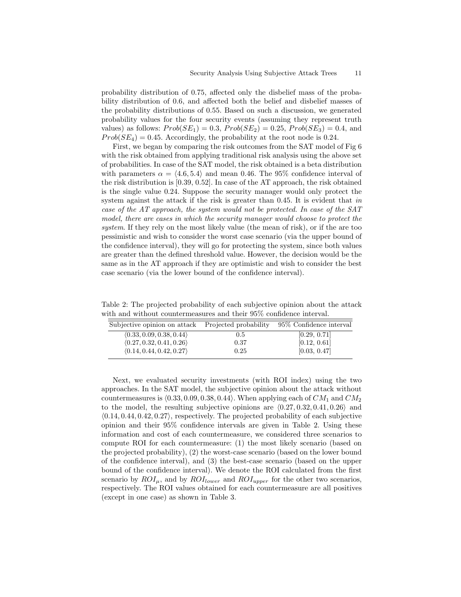probability distribution of 0.75, affected only the disbelief mass of the probability distribution of 0.6, and affected both the belief and disbelief masses of the probability distributions of 0.55. Based on such a discussion, we generated probability values for the four security events (assuming they represent truth values) as follows:  $Prob(SE_1) = 0.3, Prob(SE_2) = 0.25, Prob(SE_3) = 0.4, and$  $Prob(SE_4) = 0.45$ . Accordingly, the probability at the root node is 0.24.

First, we began by comparing the risk outcomes from the SAT model of Fig 6 with the risk obtained from applying traditional risk analysis using the above set of probabilities. In case of the SAT model, the risk obtained is a beta distribution with parameters  $\alpha = \langle 4.6, 5.4 \rangle$  and mean 0.46. The 95% confidence interval of the risk distribution is [0.39, 0.52]. In case of the AT approach, the risk obtained is the single value 0.24. Suppose the security manager would only protect the system against the attack if the risk is greater than 0.45. It is evident that in case of the AT approach, the system would not be protected. In case of the SAT model, there are cases in which the security manager would choose to protect the system. If they rely on the most likely value (the mean of risk), or if the are too pessimistic and wish to consider the worst case scenario (via the upper bound of the confidence interval), they will go for protecting the system, since both values are greater than the defined threshold value. However, the decision would be the same as in the AT approach if they are optimistic and wish to consider the best case scenario (via the lower bound of the confidence interval).

Table 2: The projected probability of each subjective opinion about the attack with and without countermeasures and their 95% confidence interval.

| Subjective opinion on attack | Projected probability | 95\% Confidence interval |
|------------------------------|-----------------------|--------------------------|
| (0.33, 0.09, 0.38, 0.44)     | 0.5                   | [0.29, 0.71]             |
| (0.27, 0.32, 0.41, 0.26)     | 0.37                  | [0.12, 0.61]             |
| (0.14, 0.44, 0.42, 0.27)     | 0.25                  | [0.03, 0.47]             |

Next, we evaluated security investments (with ROI index) using the two approaches. In the SAT model, the subjective opinion about the attack without countermeasures is  $\langle 0.33, 0.09, 0.38, 0.44 \rangle$ . When applying each of  $CM_1$  and  $CM_2$ to the model, the resulting subjective opinions are  $(0.27, 0.32, 0.41, 0.26)$  and  $(0.14, 0.44, 0.42, 0.27)$ , respectively. The projected probability of each subjective opinion and their 95% confidence intervals are given in Table 2. Using these information and cost of each countermeasure, we considered three scenarios to compute ROI for each countermeasure: (1) the most likely scenario (based on the projected probability), (2) the worst-case scenario (based on the lower bound of the confidence interval), and (3) the best-case scenario (based on the upper bound of the confidence interval). We denote the ROI calculated from the first scenario by  $ROI_{\mu}$ , and by  $ROI_{lower}$  and  $ROI_{upper}$  for the other two scenarios, respectively. The ROI values obtained for each countermeasure are all positives (except in one case) as shown in Table 3.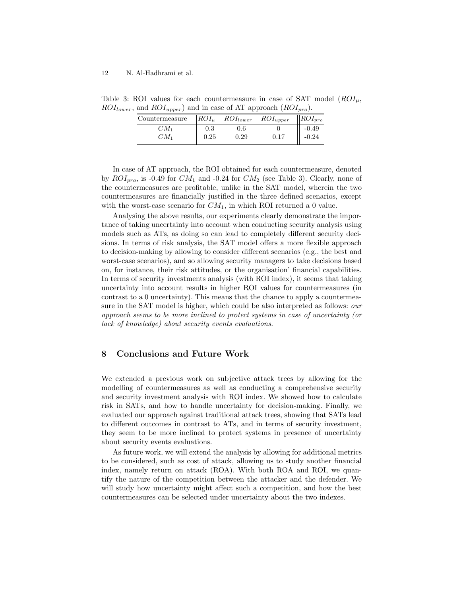Table 3: ROI values for each countermeasure in case of SAT model  $(ROI_{\mu},$  $ROI_{lower}$ , and  $ROI_{upper}$ ) and in case of AT approach  $(ROI_{pro})$ .

| w p p c l      |                              |               |               |               |
|----------------|------------------------------|---------------|---------------|---------------|
| Countermeasure | $\parallel$ ROI <sub>u</sub> | $ROI_{lower}$ | $ROI_{upper}$ | $ ROI_{pro} $ |
| $CM_1$         | 0.3                          | $0.6\,$       |               | $-0.49$       |
| $CM_1$         | 0.25                         | 0.29          | 0.17          | $-0.24$       |
|                |                              |               |               |               |

In case of AT approach, the ROI obtained for each countermeasure, denoted by  $ROI_{pro}$ , is -0.49 for  $CM_1$  and -0.24 for  $CM_2$  (see Table 3). Clearly, none of the countermeasures are profitable, unlike in the SAT model, wherein the two countermeasures are financially justified in the three defined scenarios, except with the worst-case scenario for  $CM_1$ , in which ROI returned a 0 value.

Analysing the above results, our experiments clearly demonstrate the importance of taking uncertainty into account when conducting security analysis using models such as ATs, as doing so can lead to completely different security decisions. In terms of risk analysis, the SAT model offers a more flexible approach to decision-making by allowing to consider different scenarios (e.g., the best and worst-case scenarios), and so allowing security managers to take decisions based on, for instance, their risk attitudes, or the organisation' financial capabilities. In terms of security investments analysis (with ROI index), it seems that taking uncertainty into account results in higher ROI values for countermeasures (in contrast to a 0 uncertainty). This means that the chance to apply a countermeasure in the SAT model is higher, which could be also interpreted as follows: our approach seems to be more inclined to protect systems in case of uncertainty (or lack of knowledge) about security events evaluations.

# 8 Conclusions and Future Work

We extended a previous work on subjective attack trees by allowing for the modelling of countermeasures as well as conducting a comprehensive security and security investment analysis with ROI index. We showed how to calculate risk in SATs, and how to handle uncertainty for decision-making. Finally, we evaluated our approach against traditional attack trees, showing that SATs lead to different outcomes in contrast to ATs, and in terms of security investment, they seem to be more inclined to protect systems in presence of uncertainty about security events evaluations.

As future work, we will extend the analysis by allowing for additional metrics to be considered, such as cost of attack, allowing us to study another financial index, namely return on attack (ROA). With both ROA and ROI, we quantify the nature of the competition between the attacker and the defender. We will study how uncertainty might affect such a competition, and how the best countermeasures can be selected under uncertainty about the two indexes.